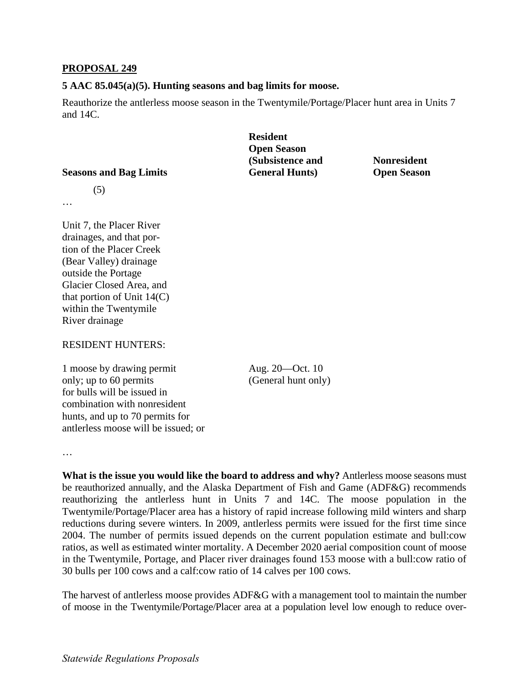### **PROPOSAL 249**

#### **5 AAC 85.045(a)(5). Hunting seasons and bag limits for moose.**

Reauthorize the antlerless moose season in the Twentymile/Portage/Placer hunt area in Units 7 and 14C.

# **(Subsistence and Transference A) Seasons and Bag Limits General Hunts General Hunts** Open Season **Resident Open Season**

# (5)

…

Unit 7, the Placer River drainages, and that portion of the Placer Creek (Bear Valley) drainage outside the Portage Glacier Closed Area, and that portion of Unit  $14(C)$ within the Twentymile River drainage

## RESIDENT HUNTERS:

1 moose by drawing permit Aug. 20 — Oct. 10 only; up to 60 permits (General hunt only) hunts, and up to 70 permits for for bulls will be issued in combination with nonresident antlerless moose will be issued; or

…

 Twentymile/Portage/Placer area has a history of rapid increase following mild winters and sharp in the Twentymile, Portage, and Placer river drainages found 153 moose with a bull:cow ratio of **What is the issue you would like the board to address and why?** Antlerless moose seasons must be reauthorized annually, and the Alaska Department of Fish and Game (ADF&G) recommends reauthorizing the antlerless hunt in Units 7 and 14C. The moose population in the reductions during severe winters. In 2009, antlerless permits were issued for the first time since 2004. The number of permits issued depends on the current population estimate and bull:cow ratios, as well as estimated winter mortality. A December 2020 aerial composition count of moose 30 bulls per 100 cows and a calf:cow ratio of 14 calves per 100 cows.

The harvest of antlerless moose provides ADF&G with a management tool to maintain the number of moose in the Twentymile/Portage/Placer area at a population level low enough to reduce over